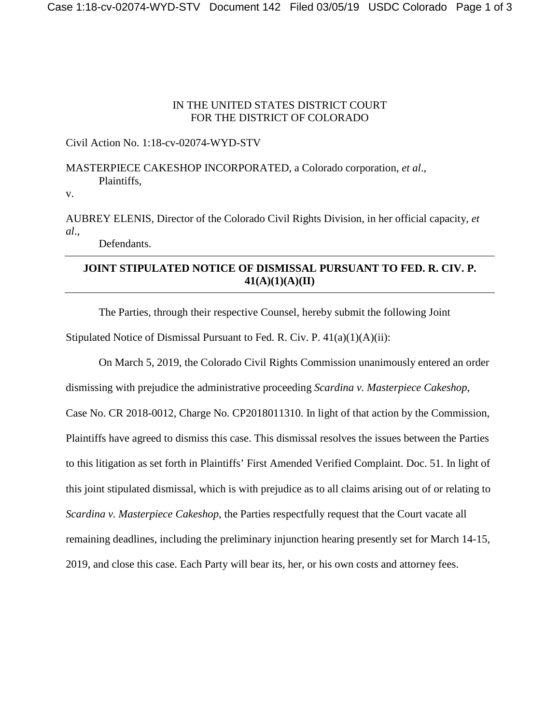#### IN THE UNITED STATES DISTRICT COURT FOR THE DISTRICT OF COLORADO

### Civil Action No. 1:18-cv-02074-WYD-STV

# MASTERPIECE CAKESHOP INCORPORATED, a Colorado corporation, *et al*., Plaintiffs,

v.

AUBREY ELENIS, Director of the Colorado Civil Rights Division, in her official capacity, *et al*.,

Defendants.

## **JOINT STIPULATED NOTICE OF DISMISSAL PURSUANT TO FED. R. CIV. P. 41(A)(1)(A)(II)**

The Parties, through their respective Counsel, hereby submit the following Joint

Stipulated Notice of Dismissal Pursuant to Fed. R. Civ. P. 41(a)(1)(A)(ii):

On March 5, 2019, the Colorado Civil Rights Commission unanimously entered an order dismissing with prejudice the administrative proceeding *Scardina v. Masterpiece Cakeshop*, Case No. CR 2018-0012, Charge No. CP2018011310. In light of that action by the Commission, Plaintiffs have agreed to dismiss this case. This dismissal resolves the issues between the Parties to this litigation as set forth in Plaintiffs' First Amended Verified Complaint. Doc. 51. In light of this joint stipulated dismissal, which is with prejudice as to all claims arising out of or relating to *Scardina v. Masterpiece Cakeshop*, the Parties respectfully request that the Court vacate all remaining deadlines, including the preliminary injunction hearing presently set for March 14-15, 2019, and close this case. Each Party will bear its, her, or his own costs and attorney fees.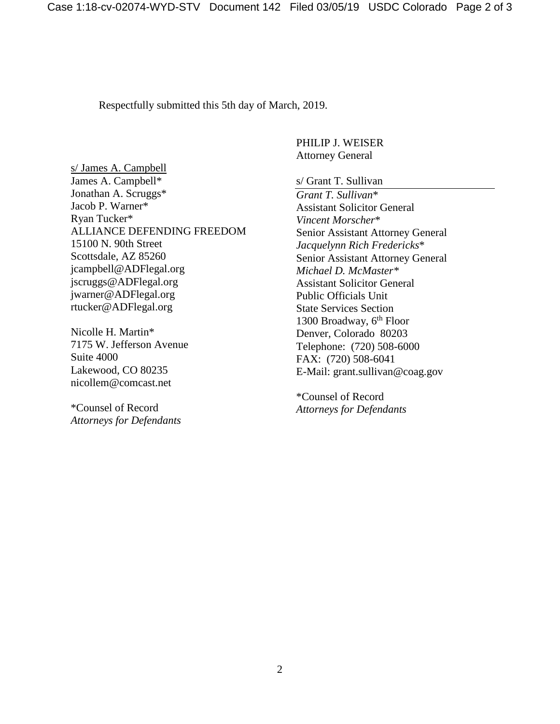Respectfully submitted this 5th day of March, 2019.

s/ James A. Campbell James A. Campbell\* Jonathan A. Scruggs\* Jacob P. Warner\* Ryan Tucker\* ALLIANCE DEFENDING FREEDOM 15100 N. 90th Street Scottsdale, AZ 85260 [jcampbell@ADFlegal.org](mailto:jcampbell@ADFlegal.org) [jscruggs@ADFlegal.org](mailto:jscruggs@ADFlegal.org) [jwarner@ADFlegal.org](mailto:jwarner@ADFlegal.org) rtucker@ADFlegal.org

Nicolle H. Martin\* 7175 W. Jefferson Avenue Suite 4000 Lakewood, CO 80235 [nicollem@comcast.net](mailto:nicollem@comcast.net)

\*Counsel of Record *Attorneys for Defendants* PHILIP J. WEISER Attorney General

s/ Grant T. Sullivan

*Grant T. Sullivan*\* Assistant Solicitor General *Vincent Morscher*\* Senior Assistant Attorney General *Jacquelynn Rich Fredericks*\* Senior Assistant Attorney General *Michael D. McMaster\** Assistant Solicitor General Public Officials Unit State Services Section 1300 Broadway,  $6<sup>th</sup>$  Floor Denver, Colorado 80203 Telephone: (720) 508-6000 FAX: (720) 508-6041 E-Mail: grant.sullivan@coag.gov

\*Counsel of Record *Attorneys for Defendants*